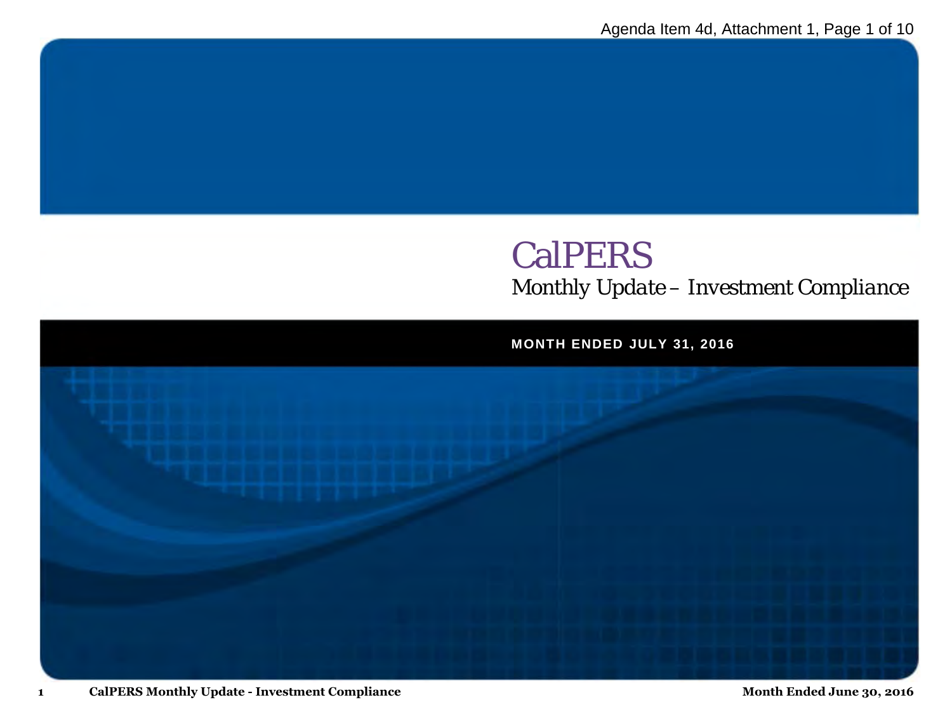# **CalPERS** *Monthly Update – Investment Compliance*

**MONTH ENDED JULY 31, 2016**

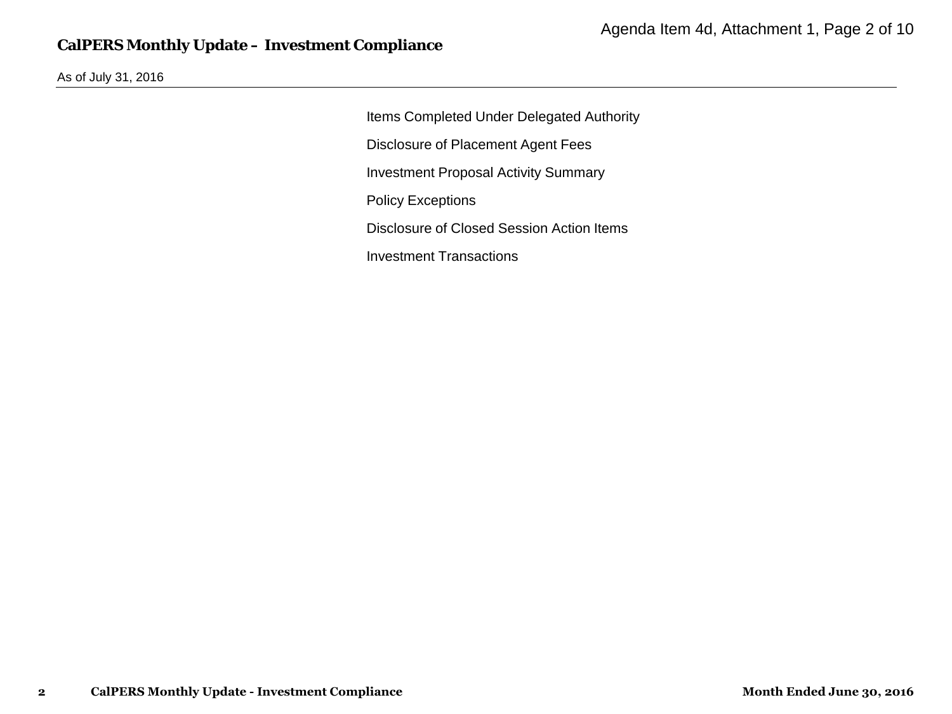#### **CalPERS Monthly Update – Investment Compliance**

As of July 31, 2016

Items Completed Under Delegated Authority Disclosure of Placement Agent Fees Investment Proposal Activity Summary Policy Exceptions Disclosure of Closed Session Action Items Investment Transactions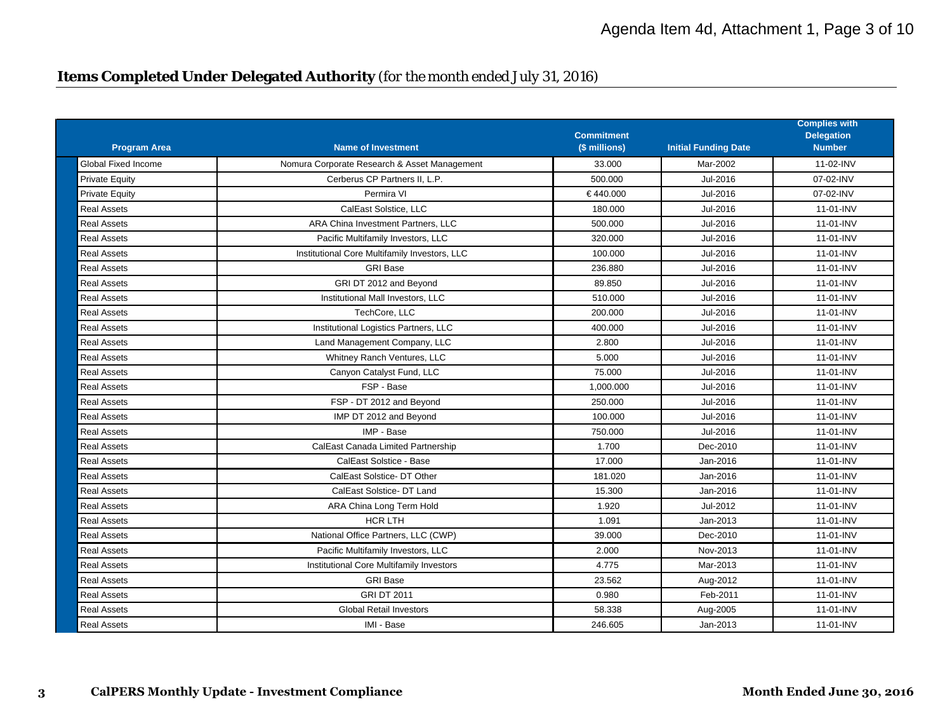#### **Items Completed Under Delegated Authority** *(for the month ended July 31, 2016)*

| <b>Program Area</b>   | <b>Name of Investment</b>                     | <b>Commitment</b><br>(\$ millions) | <b>Initial Funding Date</b> | <b>Complies with</b><br><b>Delegation</b><br><b>Number</b> |
|-----------------------|-----------------------------------------------|------------------------------------|-----------------------------|------------------------------------------------------------|
| Global Fixed Income   | Nomura Corporate Research & Asset Management  | 33.000                             | Mar-2002                    | 11-02-INV                                                  |
| <b>Private Equity</b> | Cerberus CP Partners II. L.P.                 | 500.000                            | Jul-2016                    | 07-02-INV                                                  |
| <b>Private Equity</b> | Permira VI                                    | €440.000                           | Jul-2016                    | 07-02-INV                                                  |
| <b>Real Assets</b>    | CalEast Solstice, LLC                         | 180.000                            | Jul-2016                    | 11-01-INV                                                  |
| <b>Real Assets</b>    | ARA China Investment Partners, LLC            | 500.000                            | Jul-2016                    | 11-01-INV                                                  |
| <b>Real Assets</b>    | Pacific Multifamily Investors, LLC            | 320.000                            | Jul-2016                    | 11-01-INV                                                  |
| Real Assets           | Institutional Core Multifamily Investors, LLC | 100.000                            | Jul-2016                    | 11-01-INV                                                  |
| <b>Real Assets</b>    | <b>GRI Base</b>                               | 236.880                            | Jul-2016                    | 11-01-INV                                                  |
| <b>Real Assets</b>    | GRI DT 2012 and Beyond                        | 89.850                             | Jul-2016                    | 11-01-INV                                                  |
| Real Assets           | Institutional Mall Investors, LLC             | 510.000                            | Jul-2016                    | $11-01-1$ NV                                               |
| <b>Real Assets</b>    | TechCore, LLC                                 | 200.000                            | Jul-2016                    | 11-01-INV                                                  |
| Real Assets           | Institutional Logistics Partners, LLC         | 400.000                            | Jul-2016                    | 11-01-INV                                                  |
| Real Assets           | Land Management Company, LLC                  | 2.800                              | Jul-2016                    | 11-01-INV                                                  |
| <b>Real Assets</b>    | Whitney Ranch Ventures, LLC                   | 5.000                              | Jul-2016                    | 11-01-INV                                                  |
| <b>Real Assets</b>    | Canyon Catalyst Fund, LLC                     | 75.000                             | Jul-2016                    | 11-01-INV                                                  |
| <b>Real Assets</b>    | FSP - Base                                    | 1,000.000                          | Jul-2016                    | 11-01-INV                                                  |
| <b>Real Assets</b>    | FSP - DT 2012 and Beyond                      | 250.000                            | Jul-2016                    | 11-01-INV                                                  |
| <b>Real Assets</b>    | IMP DT 2012 and Beyond                        | 100.000                            | Jul-2016                    | 11-01-INV                                                  |
| <b>Real Assets</b>    | IMP - Base                                    | 750.000                            | Jul-2016                    | 11-01-INV                                                  |
| <b>Real Assets</b>    | CalEast Canada Limited Partnership            | 1.700                              | Dec-2010                    | 11-01-INV                                                  |
| <b>Real Assets</b>    | CalEast Solstice - Base                       | 17.000                             | Jan-2016                    | 11-01-INV                                                  |
| Real Assets           | CalEast Solstice-DT Other                     | 181.020                            | Jan-2016                    | 11-01-INV                                                  |
| <b>Real Assets</b>    | CalEast Solstice- DT Land                     | 15.300                             | Jan-2016                    | 11-01-INV                                                  |
| <b>Real Assets</b>    | ARA China Long Term Hold                      | 1.920                              | Jul-2012                    | 11-01-INV                                                  |
| <b>Real Assets</b>    | <b>HCR LTH</b>                                | 1.091                              | Jan-2013                    | 11-01-INV                                                  |
| <b>Real Assets</b>    | National Office Partners, LLC (CWP)           | 39.000                             | Dec-2010                    | 11-01-INV                                                  |
| <b>Real Assets</b>    | Pacific Multifamily Investors, LLC            | 2.000                              | Nov-2013                    | 11-01-INV                                                  |
| <b>Real Assets</b>    | Institutional Core Multifamily Investors      | 4.775                              | Mar-2013                    | 11-01-INV                                                  |
| <b>Real Assets</b>    | <b>GRI Base</b>                               | 23.562                             | Aug-2012                    | 11-01-INV                                                  |
| <b>Real Assets</b>    | <b>GRI DT 2011</b>                            | 0.980                              | Feb-2011                    | 11-01-INV                                                  |
| <b>Real Assets</b>    | <b>Global Retail Investors</b>                | 58.338                             | Aug-2005                    | 11-01-INV                                                  |
| <b>Real Assets</b>    | IMI - Base                                    | 246.605                            | Jan-2013                    | 11-01-INV                                                  |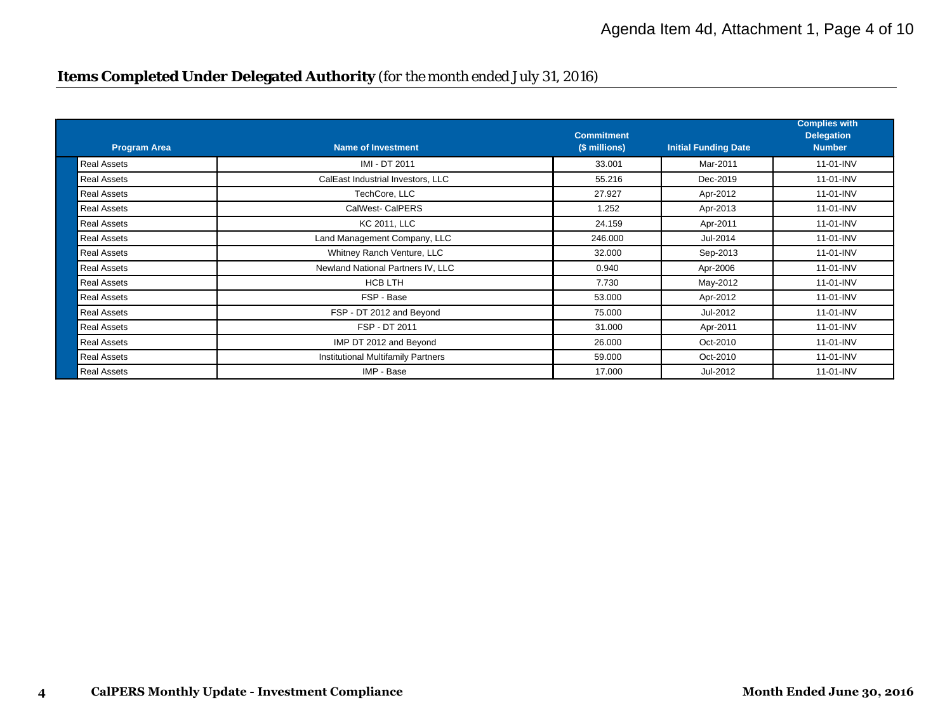# **Items Completed Under Delegated Authority** *(for the month ended July 31, 2016)*

| <b>Program Area</b> | <b>Name of Investment</b>                 | <b>Commitment</b><br>(\$ millions) | <b>Initial Funding Date</b> | <b>Complies with</b><br><b>Delegation</b><br><b>Number</b> |
|---------------------|-------------------------------------------|------------------------------------|-----------------------------|------------------------------------------------------------|
| <b>Real Assets</b>  | IMI - DT 2011                             | 33.001                             | Mar-2011                    | 11-01-INV                                                  |
| <b>Real Assets</b>  | CalEast Industrial Investors, LLC         | 55.216                             | Dec-2019                    | 11-01-INV                                                  |
| <b>Real Assets</b>  | TechCore, LLC                             | 27.927                             | Apr-2012                    | 11-01-INV                                                  |
| <b>Real Assets</b>  | <b>CalWest- CalPERS</b>                   | 1.252                              | Apr-2013                    | 11-01-INV                                                  |
| <b>Real Assets</b>  | <b>KC 2011, LLC</b>                       | 24.159                             | Apr-2011                    | 11-01-INV                                                  |
| <b>Real Assets</b>  | Land Management Company, LLC              | 246.000                            | Jul-2014                    | 11-01-INV                                                  |
| <b>Real Assets</b>  | Whitney Ranch Venture, LLC                | 32.000                             | Sep-2013                    | 11-01-INV                                                  |
| <b>Real Assets</b>  | Newland National Partners IV, LLC         | 0.940                              | Apr-2006                    | 11-01-INV                                                  |
| <b>Real Assets</b>  | <b>HCB LTH</b>                            | 7.730                              | May-2012                    | 11-01-INV                                                  |
| <b>Real Assets</b>  | FSP - Base                                | 53.000                             | Apr-2012                    | 11-01-INV                                                  |
| <b>Real Assets</b>  | FSP - DT 2012 and Beyond                  | 75.000                             | Jul-2012                    | 11-01-INV                                                  |
| <b>Real Assets</b>  | FSP - DT 2011                             | 31.000                             | Apr-2011                    | 11-01-INV                                                  |
| <b>Real Assets</b>  | IMP DT 2012 and Beyond                    | 26.000                             | Oct-2010                    | 11-01-INV                                                  |
| <b>Real Assets</b>  | <b>Institutional Multifamily Partners</b> | 59.000                             | Oct-2010                    | 11-01-INV                                                  |
| <b>Real Assets</b>  | IMP - Base                                | 17.000                             | Jul-2012                    | 11-01-INV                                                  |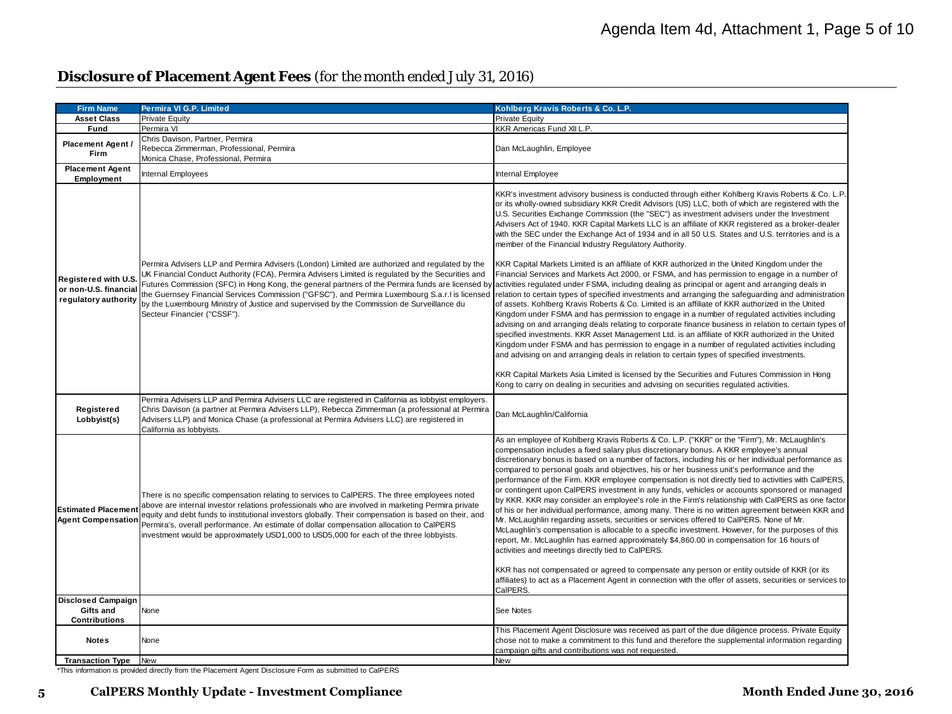# **Disclosure of Placement Agent Fees** *(for the month ended July 31, 2016)*

| <b>Firm Name</b>                                                      | Permira VI G.P. Limited                                                                                                                                                                                                                                                                                                                                                                                                                                                                          | Kohlberg Kravis Roberts & Co. L.P.                                                                                                                                                                                                                                                                                                                                                                                                                                                                                                                                                                                                                                                                                                                                                                                                                                                                                                                                                                                                                                                                                                                             |  |
|-----------------------------------------------------------------------|--------------------------------------------------------------------------------------------------------------------------------------------------------------------------------------------------------------------------------------------------------------------------------------------------------------------------------------------------------------------------------------------------------------------------------------------------------------------------------------------------|----------------------------------------------------------------------------------------------------------------------------------------------------------------------------------------------------------------------------------------------------------------------------------------------------------------------------------------------------------------------------------------------------------------------------------------------------------------------------------------------------------------------------------------------------------------------------------------------------------------------------------------------------------------------------------------------------------------------------------------------------------------------------------------------------------------------------------------------------------------------------------------------------------------------------------------------------------------------------------------------------------------------------------------------------------------------------------------------------------------------------------------------------------------|--|
| <b>Asset Class</b>                                                    | Private Equity                                                                                                                                                                                                                                                                                                                                                                                                                                                                                   | <b>Private Equity</b>                                                                                                                                                                                                                                                                                                                                                                                                                                                                                                                                                                                                                                                                                                                                                                                                                                                                                                                                                                                                                                                                                                                                          |  |
| Fund                                                                  | Permira VI                                                                                                                                                                                                                                                                                                                                                                                                                                                                                       | KKR Americas Fund XII L.P.                                                                                                                                                                                                                                                                                                                                                                                                                                                                                                                                                                                                                                                                                                                                                                                                                                                                                                                                                                                                                                                                                                                                     |  |
| Placement Agent /<br>Firm                                             | Chris Davison, Partner, Permira<br>Rebecca Zimmerman, Professional, Permira<br>Monica Chase, Professional, Permira                                                                                                                                                                                                                                                                                                                                                                               | Dan McLaughlin, Employee                                                                                                                                                                                                                                                                                                                                                                                                                                                                                                                                                                                                                                                                                                                                                                                                                                                                                                                                                                                                                                                                                                                                       |  |
| <b>Placement Agent</b><br><b>Employment</b>                           | Internal Employees                                                                                                                                                                                                                                                                                                                                                                                                                                                                               | Internal Employee                                                                                                                                                                                                                                                                                                                                                                                                                                                                                                                                                                                                                                                                                                                                                                                                                                                                                                                                                                                                                                                                                                                                              |  |
|                                                                       | Permira Advisers LLP and Permira Advisers (London) Limited are authorized and regulated by the                                                                                                                                                                                                                                                                                                                                                                                                   | KKR's investment advisory business is conducted through either Kohlberg Kravis Roberts & Co. L.P<br>or its wholly-owned subsidiary KKR Credit Advisors (US) LLC, both of which are registered with the<br>U.S. Securities Exchange Commission (the "SEC") as investment advisers under the Investment<br>Advisers Act of 1940. KKR Capital Markets LLC is an affiliate of KKR registered as a broker-dealer<br>with the SEC under the Exchange Act of 1934 and in all 50 U.S. States and U.S. territories and is a<br>member of the Financial Industry Regulatory Authority.<br>KKR Capital Markets Limited is an affiliate of KKR authorized in the United Kingdom under the                                                                                                                                                                                                                                                                                                                                                                                                                                                                                  |  |
| Registered with U.S.<br>or non-U.S. financial<br>regulatory authority | UK Financial Conduct Authority (FCA), Permira Advisers Limited is regulated by the Securities and<br>Futures Commission (SFC) in Hong Kong, the general partners of the Permira funds are licensed by<br>by the Luxembourg Ministry of Justice and supervised by the Commission de Surveillance du<br>Secteur Financier ("CSSF").                                                                                                                                                                | Financial Services and Markets Act 2000, or FSMA, and has permission to engage in a number of<br>activities regulated under FSMA, including dealing as principal or agent and arranging deals in<br>the Guernsey Financial Services Commission ("GFSC"), and Permira Luxembourg S.a.r.I is licensed  relation to certain types of specified investments and arranging the safeguarding and administration<br>of assets. Kohlberg Kravis Roberts & Co. Limited is an affiliate of KKR authorized in the United<br>Kingdom under FSMA and has permission to engage in a number of regulated activities including<br>advising on and arranging deals relating to corporate finance business in relation to certain types of<br>specified investments. KKR Asset Management Ltd. is an affiliate of KKR authorized in the United<br>Kingdom under FSMA and has permission to engage in a number of regulated activities including<br>and advising on and arranging deals in relation to certain types of specified investments.                                                                                                                                    |  |
|                                                                       |                                                                                                                                                                                                                                                                                                                                                                                                                                                                                                  | KKR Capital Markets Asia Limited is licensed by the Securities and Futures Commission in Hong<br>Kong to carry on dealing in securities and advising on securities regulated activities.                                                                                                                                                                                                                                                                                                                                                                                                                                                                                                                                                                                                                                                                                                                                                                                                                                                                                                                                                                       |  |
| Registered<br>Lobbyist(s)                                             | Permira Advisers LLP and Permira Advisers LLC are registered in California as lobbyist employers.<br>Chris Davison (a partner at Permira Advisers LLP), Rebecca Zimmerman (a professional at Permira<br>Advisers LLP) and Monica Chase (a professional at Permira Advisers LLC) are registered in<br>California as lobbyists.                                                                                                                                                                    | Dan McLaughlin/California                                                                                                                                                                                                                                                                                                                                                                                                                                                                                                                                                                                                                                                                                                                                                                                                                                                                                                                                                                                                                                                                                                                                      |  |
| <b>Estimated Placement</b><br><b>Agent Compensation</b>               | There is no specific compensation relating to services to CalPERS. The three employees noted<br>above are internal investor relations professionals who are involved in marketing Permira private<br>equity and debt funds to institutional investors globally. Their compensation is based on their, and<br>Permira's, overall performance. An estimate of dollar compensation allocation to CalPERS<br>investment would be approximately USD1,000 to USD5,000 for each of the three lobbyists. | As an employee of Kohlberg Kravis Roberts & Co. L.P. ("KKR" or the "Firm"), Mr. McLaughlin's<br>compensation includes a fixed salary plus discretionary bonus. A KKR employee's annual<br>discretionary bonus is based on a number of factors, including his or her individual performance as<br>compared to personal goals and objectives, his or her business unit's performance and the<br>performance of the Firm. KKR employee compensation is not directly tied to activities with CalPERS.<br>or contingent upon CalPERS investment in any funds, vehicles or accounts sponsored or managed<br>by KKR. KKR may consider an employee's role in the Firm's relationship with CalPERS as one factor<br>of his or her individual performance, among many. There is no written agreement between KKR and<br>Mr. McLaughlin regarding assets, securities or services offered to CalPERS. None of Mr.<br>McLaughlin's compensation is allocable to a specific investment. However, for the purposes of this<br>report, Mr. McLaughlin has earned approximately \$4,860.00 in compensation for 16 hours of<br>activities and meetings directly tied to CalPERS. |  |
|                                                                       |                                                                                                                                                                                                                                                                                                                                                                                                                                                                                                  | KKR has not compensated or agreed to compensate any person or entity outside of KKR (or its<br>affiliates) to act as a Placement Agent in connection with the offer of assets, securities or services to<br>CalPERS.                                                                                                                                                                                                                                                                                                                                                                                                                                                                                                                                                                                                                                                                                                                                                                                                                                                                                                                                           |  |
| <b>Disclosed Campaign</b><br>Gifts and<br><b>Contributions</b>        | None                                                                                                                                                                                                                                                                                                                                                                                                                                                                                             | See Notes                                                                                                                                                                                                                                                                                                                                                                                                                                                                                                                                                                                                                                                                                                                                                                                                                                                                                                                                                                                                                                                                                                                                                      |  |
| <b>Notes</b>                                                          | None                                                                                                                                                                                                                                                                                                                                                                                                                                                                                             | This Placement Agent Disclosure was received as part of the due diligence process. Private Equity<br>chose not to make a commitment to this fund and therefore the supplemental information regarding<br>campaign gifts and contributions was not requested.                                                                                                                                                                                                                                                                                                                                                                                                                                                                                                                                                                                                                                                                                                                                                                                                                                                                                                   |  |
| <b>Transaction Type</b>                                               | New                                                                                                                                                                                                                                                                                                                                                                                                                                                                                              | <b>New</b>                                                                                                                                                                                                                                                                                                                                                                                                                                                                                                                                                                                                                                                                                                                                                                                                                                                                                                                                                                                                                                                                                                                                                     |  |

**Transaction Type** New New \*This information is provided directly from the Placement Agent Disclosure Form as submitted to CalPERS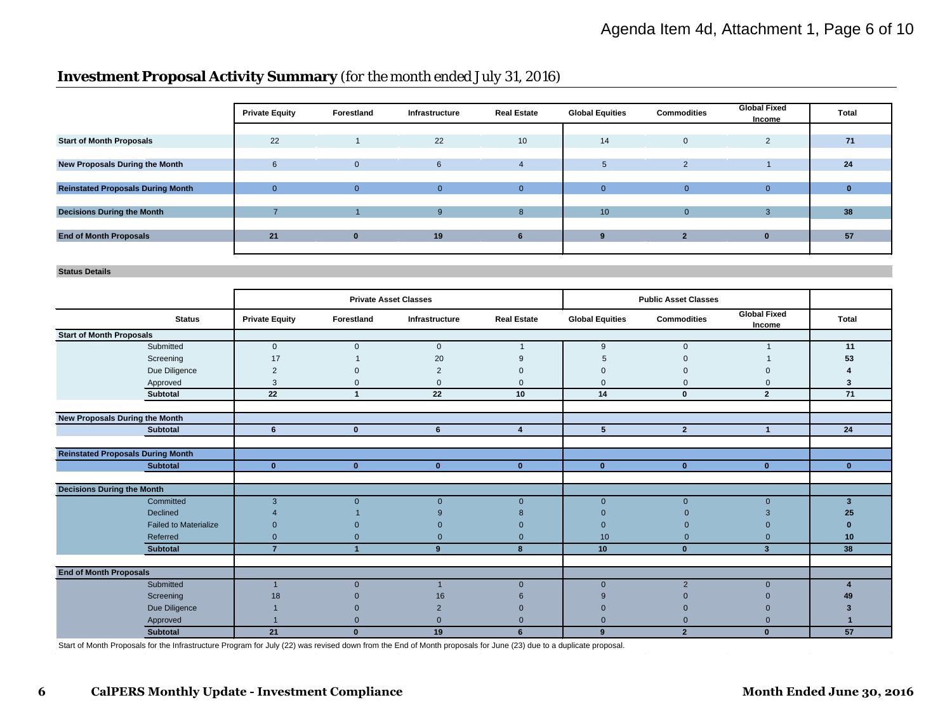# **Investment Proposal Activity Summary** *(for the month ended July 31, 2016)*

|                                          | <b>Private Equity</b> | Forestland   | Infrastructure  | <b>Real Estate</b> | <b>Global Equities</b> | <b>Commodities</b>       | <b>Global Fixed</b><br>Income | <b>Total</b> |
|------------------------------------------|-----------------------|--------------|-----------------|--------------------|------------------------|--------------------------|-------------------------------|--------------|
|                                          |                       |              |                 |                    |                        |                          |                               |              |
| <b>Start of Month Proposals</b>          | 22                    |              | 22              | 10                 | 14                     | $\mathbf{0}$             | $\overline{2}$                | 71           |
|                                          |                       |              |                 |                    |                        |                          |                               |              |
| New Proposals During the Month           | 6                     | $\mathbf{0}$ | 6               | 4                  | 5                      | $\overline{2}$           |                               | 24           |
|                                          |                       |              |                 |                    |                        |                          |                               |              |
| <b>Reinstated Proposals During Month</b> | $\Omega$              | $\Omega$     | $\Omega$        | $\Omega$           | $\Omega$               | $\mathbf{0}$             | $\Omega$                      |              |
|                                          |                       |              |                 |                    |                        |                          |                               |              |
| <b>Decisions During the Month</b>        |                       |              | 9               | 8                  | 10 <sup>10</sup>       | $\mathbf{0}$             | 3                             | 38           |
|                                          |                       |              |                 |                    |                        |                          |                               |              |
| <b>End of Month Proposals</b>            | 21                    | $\bf{0}$     | 19 <sub>1</sub> |                    | ്യ                     | $\overline{\phantom{a}}$ | $\bf{0}$                      | 57           |
|                                          |                       |              |                 |                    |                        |                          |                               |              |

**Status Details**

|                                   |                                          |                       | <b>Private Asset Classes</b> |                |                         |                        | <b>Public Asset Classes</b> |                               |              |
|-----------------------------------|------------------------------------------|-----------------------|------------------------------|----------------|-------------------------|------------------------|-----------------------------|-------------------------------|--------------|
|                                   | <b>Status</b>                            | <b>Private Equity</b> | Forestland                   | Infrastructure | <b>Real Estate</b>      | <b>Global Equities</b> | <b>Commodities</b>          | <b>Global Fixed</b><br>Income | <b>Total</b> |
| <b>Start of Month Proposals</b>   |                                          |                       |                              |                |                         |                        |                             |                               |              |
|                                   | Submitted                                | $\mathbf{0}$          | $\mathbf{0}$                 | $\mathbf{0}$   | $\overline{\mathbf{1}}$ | 9                      | $\mathbf{0}$                | $\mathbf{1}$                  | 11           |
|                                   | Screening                                | 17                    |                              | 20             | 9                       | 5                      |                             |                               | 53           |
|                                   | Due Diligence                            | $\overline{2}$        | $\Omega$                     | $\overline{2}$ | $\Omega$                | $\Omega$               |                             |                               |              |
|                                   | Approved                                 | 3                     | $\mathbf{0}$                 | $\mathbf{0}$   | $\Omega$                | $\Omega$               | $\Omega$                    | $\Omega$                      | 3            |
|                                   | Subtotal                                 | 22                    | $\overline{ }$               | 22             | 10                      | 14                     | $\mathbf{0}$                | $\overline{2}$                | 71           |
|                                   |                                          |                       |                              |                |                         |                        |                             |                               |              |
|                                   | New Proposals During the Month           |                       |                              |                |                         |                        |                             |                               |              |
|                                   | <b>Subtotal</b>                          | 6                     | $\mathbf{0}$                 | 6              | $\overline{4}$          | 5                      | $\overline{2}$              | $\overline{1}$                | 24           |
|                                   |                                          |                       |                              |                |                         |                        |                             |                               |              |
|                                   | <b>Reinstated Proposals During Month</b> |                       |                              |                |                         |                        |                             |                               |              |
|                                   | <b>Subtotal</b>                          | $\mathbf{0}$          | $\mathbf{0}$                 | $\mathbf{0}$   | $\mathbf{0}$            | $\mathbf{0}$           | $\mathbf{0}$                | $\mathbf{0}$                  | $\mathbf{0}$ |
|                                   |                                          |                       |                              |                |                         |                        |                             |                               |              |
| <b>Decisions During the Month</b> |                                          |                       |                              |                |                         |                        |                             |                               |              |
|                                   | Committed                                | 3                     | $\overline{0}$               | $\mathbf{0}$   | $\mathbf{0}$            | $\mathbf{0}$           | $\mathbf{0}$                | $\mathbf{0}$                  | 3            |
|                                   | Declined                                 |                       |                              |                | 8                       | $\Omega$               |                             |                               | 25           |
|                                   | <b>Failed to Materialize</b>             | $\Omega$              |                              |                | $\Omega$                | $\Omega$               |                             |                               |              |
|                                   | Referred                                 | $\Omega$              | $\Omega$                     | $\Omega$       | $\Omega$                | 10 <sup>1</sup>        | $\Omega$                    | $\Omega$                      | 10           |
|                                   | <b>Subtotal</b>                          | $\overline{7}$        |                              | 9              | 8                       | 10                     | $\mathbf{0}$                | $\overline{\mathbf{3}}$       | 38           |
|                                   |                                          |                       |                              |                |                         |                        |                             |                               |              |
| <b>End of Month Proposals</b>     |                                          |                       |                              |                |                         |                        |                             |                               |              |
|                                   | Submitted                                |                       | $\overline{0}$               |                | $\mathbf{0}$            | $\mathbf{0}$           | $\overline{2}$              | $\mathbf{0}$                  |              |
|                                   | Screening                                | 18                    |                              | 16             |                         | 9                      |                             |                               |              |
|                                   | Due Diligence                            |                       |                              |                |                         | $\Omega$               |                             |                               |              |
|                                   | Approved                                 |                       | $\Omega$                     |                |                         | $\Omega$               |                             |                               |              |
|                                   | <b>Subtotal</b>                          | 21                    | $\mathbf{0}$                 | 19             | 6                       | 9                      | $\overline{2}$              | $\bf{0}$                      | 57           |

Start of Month Proposals for the Infrastructure Program for July (22) was revised down from the End of Month proposals for June (23) due to a duplicate proposal.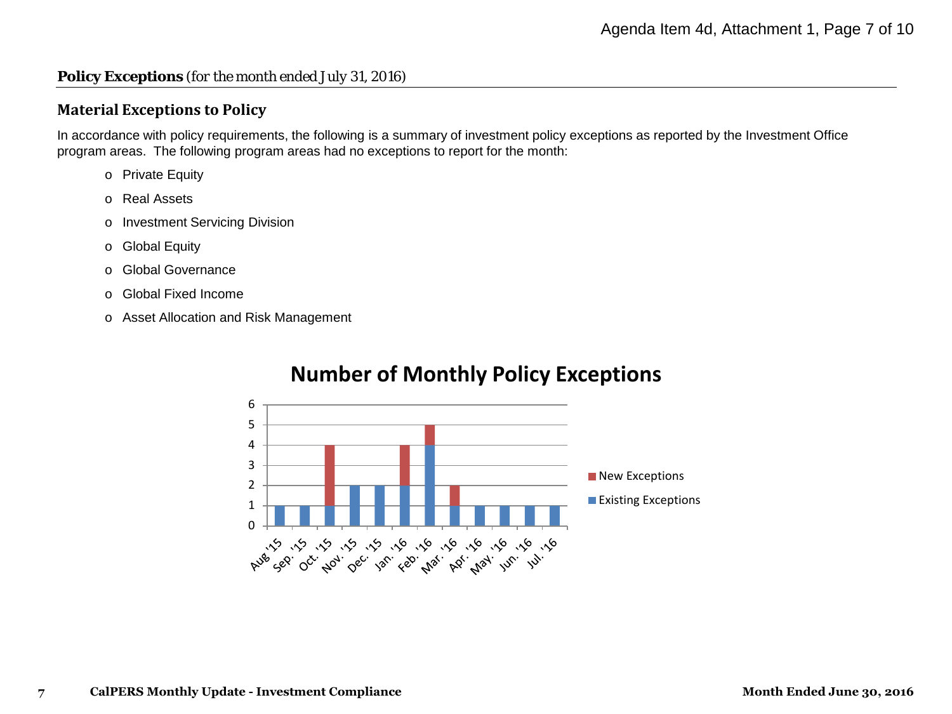#### **Policy Exceptions** *(for the month ended July 31, 2016)*

#### **Material Exceptions to Policy**

In accordance with policy requirements, the following is a summary of investment policy exceptions as reported by the Investment Office program areas. The following program areas had no exceptions to report for the month:

- o Private Equity
- o Real Assets
- o Investment Servicing Division
- o Global Equity
- o Global Governance
- o Global Fixed Income
- o Asset Allocation and Risk Management



# **Number of Monthly Policy Exceptions**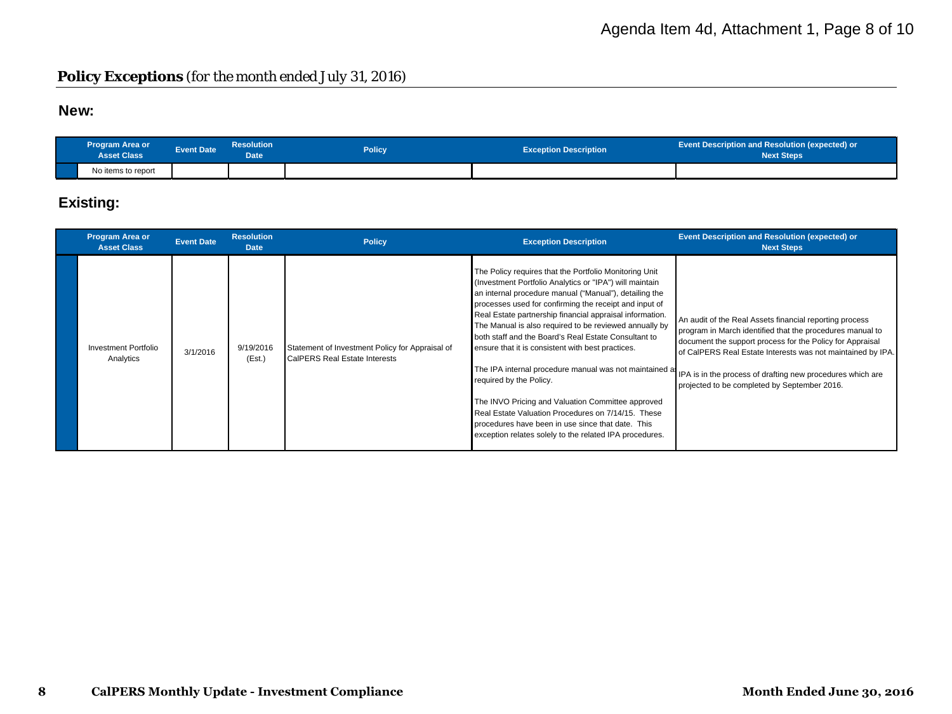#### **Policy Exceptions** *(for the month ended July 31, 2016)*

#### **New:**

| <b>Program Area or</b><br><b>Asset Class</b> | <b>Event Date</b> | <b>Resolution</b><br><b>Date</b> | Policy | <b>Exception Description</b> | <b>Event Description and Resolution (expected) or</b><br><b>Next Steps</b> |
|----------------------------------------------|-------------------|----------------------------------|--------|------------------------------|----------------------------------------------------------------------------|
| No items to report                           |                   |                                  |        |                              |                                                                            |

### **Existing:**

| <b>Program Area or</b><br><b>Asset Class</b> | <b>Event Date</b> | <b>Resolution</b><br><b>Date</b> | <b>Policy</b>                                                                    | <b>Exception Description</b>                                                                                                                                                                                                                                                                                                                                                                                                                                                                                                                                                                                                                                                                                                   | Event Description and Resolution (expected) or<br><b>Next Steps</b>                                                                                                                                                                                                                                                                                                                                                    |
|----------------------------------------------|-------------------|----------------------------------|----------------------------------------------------------------------------------|--------------------------------------------------------------------------------------------------------------------------------------------------------------------------------------------------------------------------------------------------------------------------------------------------------------------------------------------------------------------------------------------------------------------------------------------------------------------------------------------------------------------------------------------------------------------------------------------------------------------------------------------------------------------------------------------------------------------------------|------------------------------------------------------------------------------------------------------------------------------------------------------------------------------------------------------------------------------------------------------------------------------------------------------------------------------------------------------------------------------------------------------------------------|
| Investment Portfolio<br>Analytics            | 3/1/2016          | 9/19/2016<br>(Est.)              | Statement of Investment Policy for Appraisal of<br>CalPERS Real Estate Interests | The Policy requires that the Portfolio Monitoring Unit<br>(Investment Portfolio Analytics or "IPA") will maintain<br>an internal procedure manual ("Manual"), detailing the<br>processes used for confirming the receipt and input of<br>Real Estate partnership financial appraisal information.<br>The Manual is also required to be reviewed annually by<br>both staff and the Board's Real Estate Consultant to<br>ensure that it is consistent with best practices.<br>required by the Policy.<br>The INVO Pricing and Valuation Committee approved<br>Real Estate Valuation Procedures on 7/14/15. These<br>procedures have been in use since that date. This<br>exception relates solely to the related IPA procedures. | An audit of the Real Assets financial reporting process<br>program in March identified that the procedures manual to<br>document the support process for the Policy for Appraisal<br>of CalPERS Real Estate Interests was not maintained by IPA.<br>The IPA internal procedure manual was not maintained at IPA is in the process of drafting new procedures which are<br>projected to be completed by September 2016. |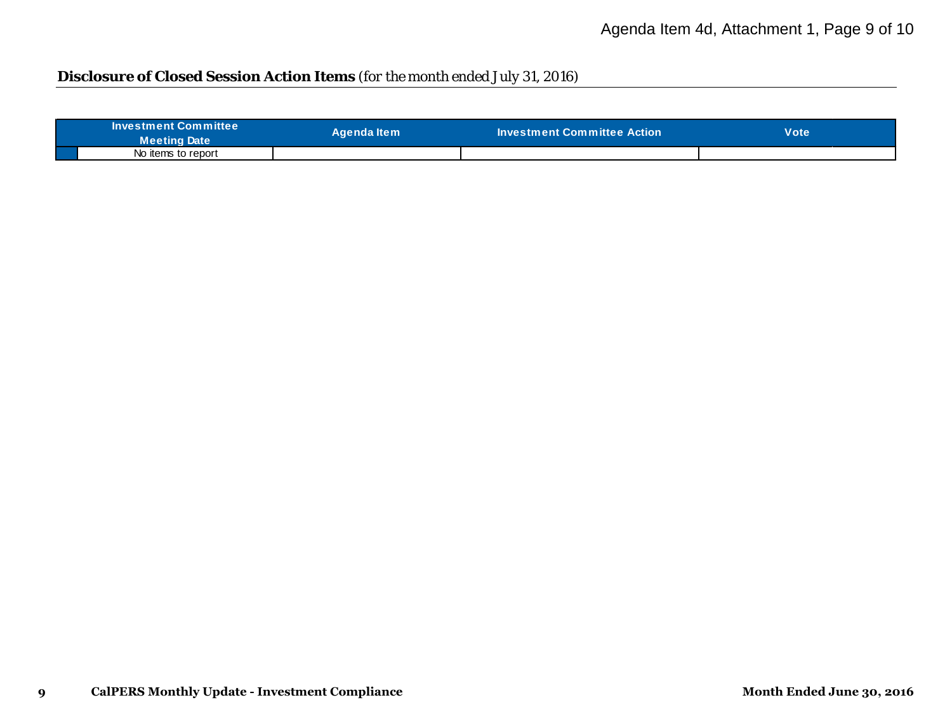# **Disclosure of Closed Session Action Items** *(for the month ended July 31, 2016)*

| <b>Investment Committee</b><br><b>Meeting Date</b> | Aɑenda Item | $\blacksquare$ Investment Committee Action $\blacksquare$ | Vote |
|----------------------------------------------------|-------------|-----------------------------------------------------------|------|
| No items to report                                 |             |                                                           |      |